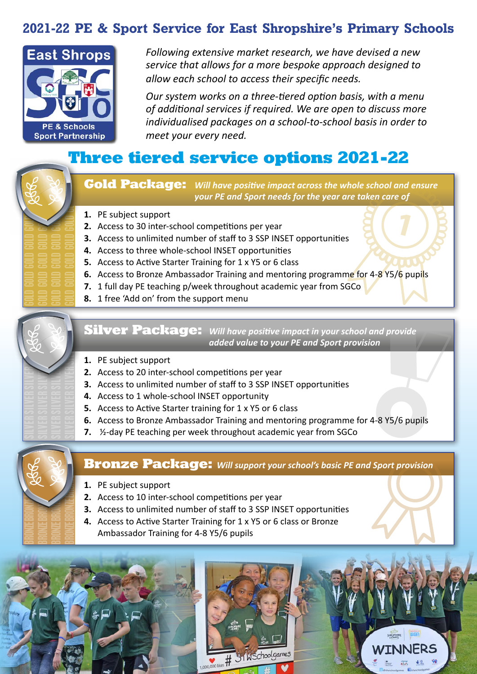### **2021-22 PE & Sport Service for East Shropshire's Primary Schools**



*Following extensive market research, we have devised a new service that allows for a more bespoke approach designed to allow each school to access their specific needs.* 

*Our system works on a three-tiered option basis, with a menu of additional services if required. We are open to discuss more individualised packages on a school-to-school basis in order to meet your every need.*

# **Three tiered service options 2021-22**



**Gold Package:** *Will have positive impact across the whole school and ensure your PE and Sport needs for the year are taken care of*

- **1.** PE subject support
- **2.** Access to 30 inter-school competitions per year
- **3.** Access to unlimited number of staff to 3 SSP INSET opportunities
- **4.** Access to three whole-school INSET opportunities
- **5.** Access to Active Starter Training for 1 x Y5 or 6 class
- **6.** Access to Bronze Ambassador Training and mentoring programme for 4-8 Y5/6 pupils
- **7.** 1 full day PE teaching p/week throughout academic year from SGCo
- **8.** 1 free 'Add on' from the support menu



**Silver Package:** *Will have positive impact in your school and provide added value to your PE and Sport provision*

- **1.** PE subject support
- **2.** Access to 20 inter-school competitions per year
- **3.** Access to unlimited number of staff to 3 SSP INSET opportunities
- **4.** Access to 1 whole-school INSET opportunity
- **5.** Access to Active Starter training for 1 x Y5 or 6 class
- **6.** Access to Bronze Ambassador Training and mentoring programme for 4-8 Y5/6 pupils
- **7.** ½-day PE teaching per week throughout academic year from SGCo



### **Bronze Package:** *Will support your school's basic PE and Sport provision*

- **1.** PE subject support
- **2.** Access to 10 inter-school competitions per year
- **3.** Access to unlimited number of staff to 3 SSP INSET opportunities
- **4.** Access to Active Starter Training for 1 x Y5 or 6 class or Bronze Ambassador Training for 4-8 Y5/6 pupils

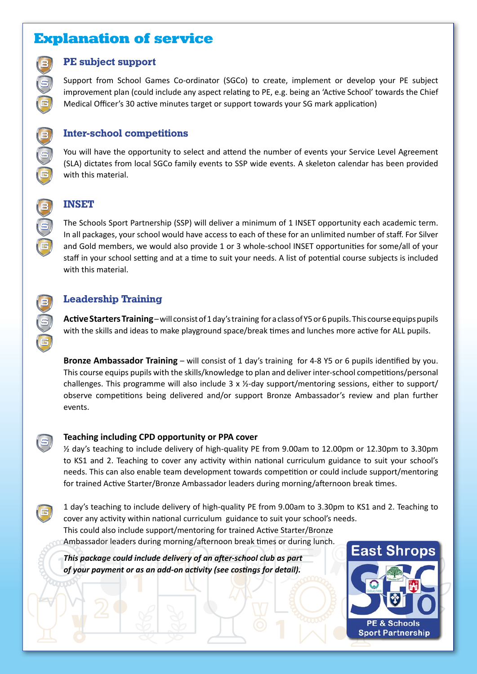### **Explanation of service**

#### **PE subject support**

Support from School Games Co-ordinator (SGCo) to create, implement or develop your PE subject improvement plan (could include any aspect relating to PE, e.g. being an 'Active School' towards the Chief Medical Officer's 30 active minutes target or support towards your SG mark application)

#### **Inter-school competitions**

You will have the opportunity to select and attend the number of events your Service Level Agreement (SLA) dictates from local SGCo family events to SSP wide events. A skeleton calendar has been provided with this material.



B

S

 $\boldsymbol{\widehat{\mathsf{G}}}$ 

B

S

 $\widehat{\mathbf{G}}$ 

 $\widehat{\mathbf{G}}$ 

B

S

 $\widehat{\mathbf{G}}$ 

S

G

#### **INSET**

The Schools Sport Partnership (SSP) will deliver a minimum of 1 INSET opportunity each academic term. In all packages, your school would have access to each of these for an unlimited number of staff. For Silver and Gold members, we would also provide 1 or 3 whole-school INSET opportunities for some/all of your staff in your school setting and at a time to suit your needs. A list of potential course subjects is included with this material.

#### **Leadership Training**

**Active Starters Training** – will consist of 1 day's training for a class of Y5 or 6 pupils. This course equips pupils with the skills and ideas to make playground space/break times and lunches more active for ALL pupils.

**Bronze Ambassador Training** – will consist of 1 day's training for 4-8 Y5 or 6 pupils identified by you. This course equips pupils with the skills/knowledge to plan and deliver inter-school competitions/personal challenges. This programme will also include 3 x ½-day support/mentoring sessions, either to support/ observe competitions being delivered and/or support Bronze Ambassador's review and plan further events.

#### **Teaching including CPD opportunity or PPA cover**

½ day's teaching to include delivery of high-quality PE from 9.00am to 12.00pm or 12.30pm to 3.30pm to KS1 and 2. Teaching to cover any activity within national curriculum guidance to suit your school's needs. This can also enable team development towards competition or could include support/mentoring for trained Active Starter/Bronze Ambassador leaders during morning/afternoon break times.

1 day's teaching to include delivery of high-quality PE from 9.00am to 3.30pm to KS1 and 2. Teaching to cover any activity within national curriculum guidance to suit your school's needs. This could also include support/mentoring for trained Active Starter/Bronze Ambassador leaders during morning/afternoon break times or during lunch.

*This package could include delivery of an after-school club as part of your payment or as an add-on activity (see costings for detail).*